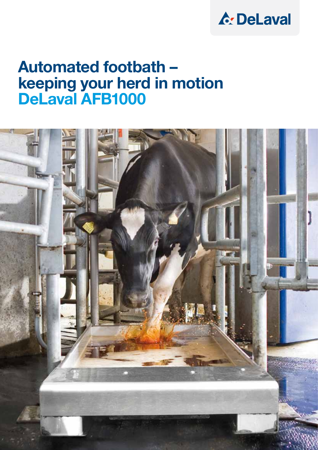## **A: DeLaval**

### Automated footbath – keeping your herd in motion DeLaval AFB1000